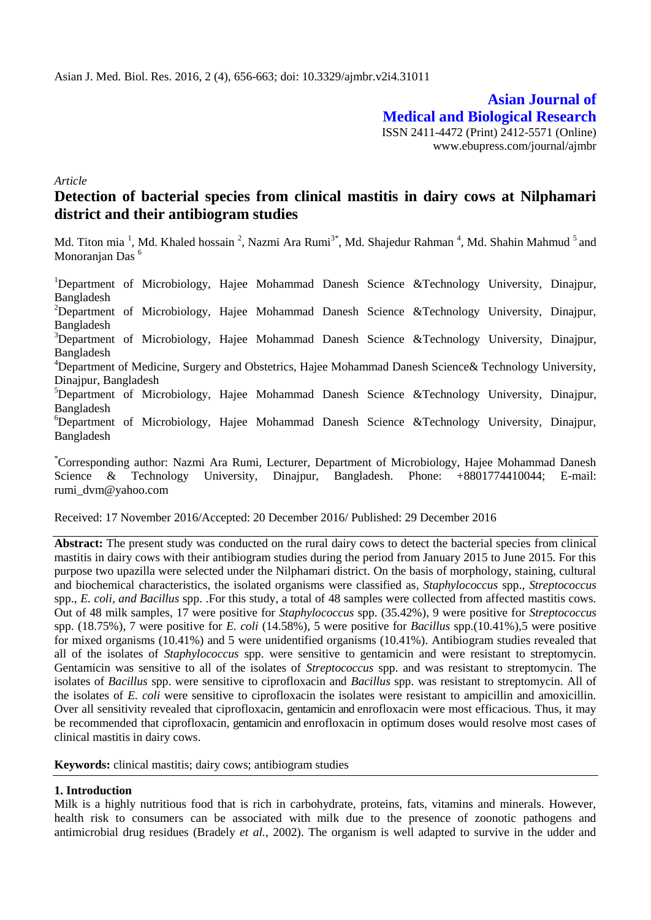**Asian Journal of Medical and Biological Research** ISSN 2411-4472 (Print) 2412-5571 (Online) www.ebupress.com/journal/ajmbr

*Article*

# **Detection of bacterial species from clinical mastitis in dairy cows at Nilphamari district and their antibiogram studies**

Md. Titon mia <sup>1</sup>, Md. Khaled hossain <sup>2</sup>, Nazmi Ara Rumi<sup>3\*</sup>, Md. Shajedur Rahman <sup>4</sup>, Md. Shahin Mahmud <sup>5</sup> and Monoranjan Das<sup>6</sup>

<sup>1</sup>Department of Microbiology, Hajee Mohammad Danesh Science &Technology University, Dinajpur, Bangladesh <sup>2</sup>Department of Microbiology, Hajee Mohammad Danesh Science &Technology University, Dinajpur, Bangladesh <sup>3</sup>Department of Microbiology, Hajee Mohammad Danesh Science &Technology University, Dinajpur, Bangladesh <sup>4</sup>Department of Medicine, Surgery and Obstetrics, Hajee Mohammad Danesh Science & Technology University, Dinajpur, Bangladesh  $5$ Department of Microbiology, Hajee Mohammad Danesh Science &Technology University, Dinajpur, Bangladesh  ${}^{6}$ Department of Microbiology, Hajee Mohammad Danesh Science &Technology University, Dinajpur, Bangladesh

\*Corresponding author: Nazmi Ara Rumi, Lecturer, Department of Microbiology, Hajee Mohammad Danesh Science & Technology University, Dinajpur, Bangladesh. Phone: +8801774410044; E-mail: rumi\_dvm@yahoo.com

Received: 17 November 2016/Accepted: 20 December 2016/ Published: 29 December 2016

**Abstract:** The present study was conducted on the rural dairy cows to detect the bacterial species from clinical mastitis in dairy cows with their antibiogram studies during the period from January 2015 to June 2015. For this purpose two upazilla were selected under the Nilphamari district. On the basis of morphology, staining, cultural and biochemical characteristics, the isolated organisms were classified as*, Staphylococcus* spp., *Streptococcus*  spp., *E. coli, and Bacillus* spp. .For this study, a total of 48 samples were collected from affected mastitis cows. Out of 48 milk samples, 17 were positive for *Staphylococcus* spp. (35.42%), 9 were positive for *Streptococcus*  spp. (18.75%), 7 were positive for *E. coli* (14.58%), 5 were positive for *Bacillus* spp.(10.41%),5 were positive for mixed organisms (10.41%) and 5 were unidentified organisms (10.41%). Antibiogram studies revealed that all of the isolates of *Staphylococcus* spp. were sensitive to gentamicin and were resistant to streptomycin. Gentamicin was sensitive to all of the isolates of *Streptococcus* spp. and was resistant to streptomycin. The isolates of *Bacillus* spp. were sensitive to ciprofloxacin and *Bacillus* spp. was resistant to streptomycin. All of the isolates of *E. coli* were sensitive to ciprofloxacin the isolates were resistant to ampicillin and amoxicillin. Over all sensitivity revealed that ciprofloxacin, gentamicin and enrofloxacin were most efficacious. Thus, it may be recommended that ciprofloxacin, gentamicin and enrofloxacin in optimum doses would resolve most cases of clinical mastitis in dairy cows.

**Keywords:** clinical mastitis; dairy cows; antibiogram studies

# **1. Introduction**

Milk is a highly nutritious food that is rich in carbohydrate, proteins, fats, vitamins and minerals. However, health risk to consumers can be associated with milk due to the presence of zoonotic pathogens and antimicrobial drug residues (Bradely *et al.,* 2002). The organism is well adapted to survive in the udder and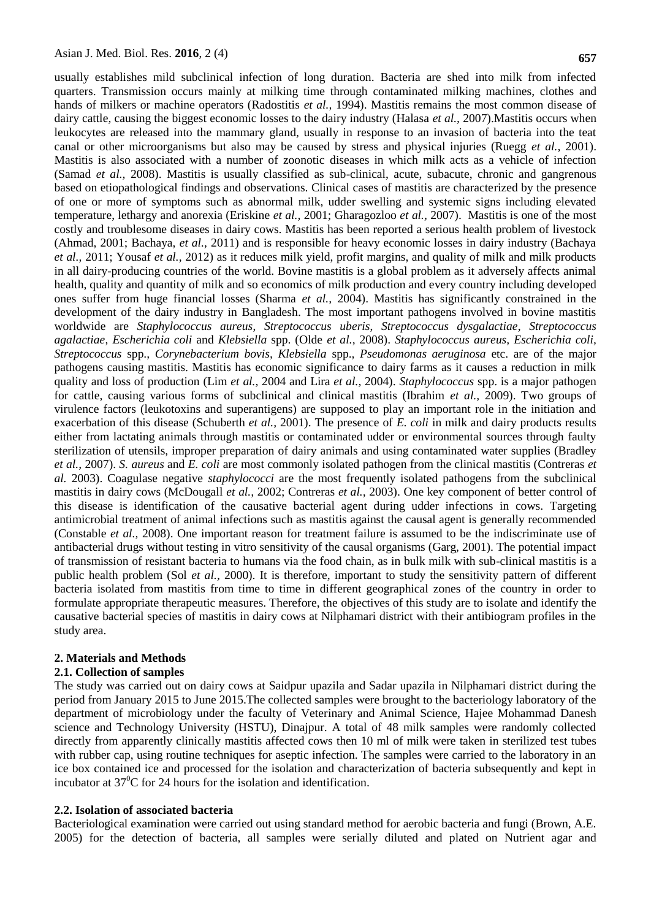usually establishes mild subclinical infection of long duration. Bacteria are shed into milk from infected quarters. Transmission occurs mainly at milking time through contaminated milking machines, clothes and hands of milkers or machine operators (Radostitis *et al.,* 1994). Mastitis remains the most common disease of dairy cattle, causing the biggest economic losses to the dairy industry (Halasa *et al.,* 2007).Mastitis occurs when leukocytes are released into the mammary gland, usually in response to an invasion of bacteria into the teat canal or other microorganisms but also may be caused by stress and physical injuries (Ruegg *et al.,* 2001). Mastitis is also associated with a number of zoonotic diseases in which milk acts as a vehicle of infection (Samad *et al.,* 2008). Mastitis is usually classified as sub-clinical, acute, subacute, chronic and gangrenous based on etiopathological findings and observations. Clinical cases of mastitis are characterized by the presence of one or more of symptoms such as abnormal milk, udder swelling and systemic signs including elevated temperature, lethargy and anorexia (Eriskine *et al.,* 2001; Gharagozloo *et al.,* 2007). Mastitis is one of the most costly and troublesome diseases in dairy cows. Mastitis has been reported a serious health problem of livestock (Ahmad, 2001; Bachaya, *et al.,* 2011) and is responsible for heavy economic losses in dairy industry (Bachaya *et al.,* 2011; Yousaf *et al.,* 2012) as it reduces milk yield, profit margins, and quality of milk and milk products in all dairy-producing countries of the world. Bovine mastitis is a global problem as it adversely affects animal health, quality and quantity of milk and so economics of milk production and every country including developed ones suffer from huge financial losses (Sharma *et al.,* 2004). Mastitis has significantly constrained in the development of the dairy industry in Bangladesh. The most important pathogens involved in bovine mastitis worldwide are *Staphylococcus aureus*, *Streptococcus uberis*, *Streptococcus dysgalactiae*, *Streptococcus agalactiae*, *Escherichia coli* and *Klebsiella* spp. (Olde *et al.,* 2008). *Staphylococcus aureus, Escherichia coli, Streptococcus* spp.*, Corynebacterium bovis, Klebsiella* spp.*, Pseudomonas aeruginosa* etc. are of the major pathogens causing mastitis. Mastitis has economic significance to dairy farms as it causes a reduction in milk quality and loss of production (Lim *et al.,* 2004 and Lira *et al.,* 2004). *Staphylococcus* spp. is a major pathogen for cattle, causing various forms of subclinical and clinical mastitis (Ibrahim *et al.,* 2009). Two groups of virulence factors (leukotoxins and superantigens) are supposed to play an important role in the initiation and exacerbation of this disease (Schuberth *et al.,* 2001). The presence of *E. coli* in milk and dairy products results either from lactating animals through mastitis or contaminated udder or environmental sources through faulty sterilization of utensils, improper preparation of dairy animals and using contaminated water supplies (Bradley *et al.,* 2007). *S. aureus* and *E. coli* are most commonly isolated pathogen from the clinical mastitis (Contreras *et al.* 2003). Coagulase negative *staphylococci* are the most frequently isolated pathogens from the subclinical mastitis in dairy cows (McDougall *et al.,* 2002; Contreras *et al.,* 2003). One key component of better control of this disease is identification of the causative bacterial agent during udder infections in cows. Targeting antimicrobial treatment of animal infections such as mastitis against the causal agent is generally recommended (Constable *et al.,* 2008). One important reason for treatment failure is assumed to be the indiscriminate use of antibacterial drugs without testing in vitro sensitivity of the causal organisms (Garg, 2001). The potential impact of transmission of resistant bacteria to humans via the food chain, as in bulk milk with sub-clinical mastitis is a public health problem (Sol *et al.,* 2000). It is therefore, important to study the sensitivity pattern of different bacteria isolated from mastitis from time to time in different geographical zones of the country in order to formulate appropriate therapeutic measures. Therefore, the objectives of this study are to isolate and identify the causative bacterial species of mastitis in dairy cows at Nilphamari district with their antibiogram profiles in the study area.

### **2. Materials and Methods**

### **2.1. Collection of samples**

The study was carried out on dairy cows at Saidpur upazila and Sadar upazila in Nilphamari district during the period from January 2015 to June 2015.The collected samples were brought to the bacteriology laboratory of the department of microbiology under the faculty of Veterinary and Animal Science, Hajee Mohammad Danesh science and Technology University (HSTU), Dinajpur. A total of 48 milk samples were randomly collected directly from apparently clinically mastitis affected cows then 10 ml of milk were taken in sterilized test tubes with rubber cap, using routine techniques for aseptic infection. The samples were carried to the laboratory in an ice box contained ice and processed for the isolation and characterization of bacteria subsequently and kept in incubator at  $37^{\circ}$ C for 24 hours for the isolation and identification.

### **2.2. Isolation of associated bacteria**

Bacteriological examination were carried out using standard method for aerobic bacteria and fungi (Brown, A.E. 2005) for the detection of bacteria, all samples were serially diluted and plated on Nutrient agar and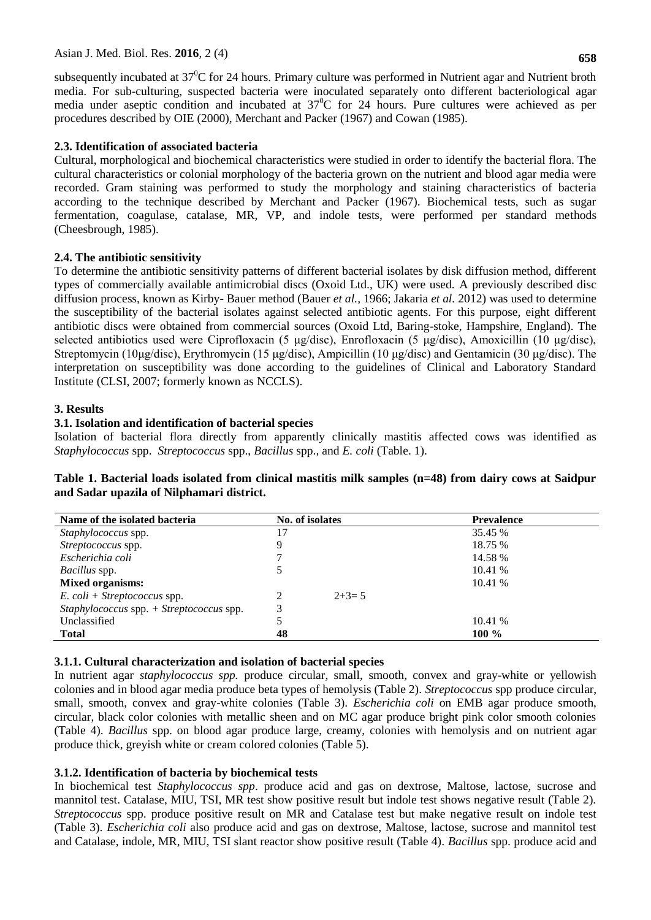subsequently incubated at  $37^{\circ}$ C for 24 hours. Primary culture was performed in Nutrient agar and Nutrient broth media. For sub-culturing, suspected bacteria were inoculated separately onto different bacteriological agar media under aseptic condition and incubated at  $37^{\circ}$ C for 24 hours. Pure cultures were achieved as per procedures described by OIE (2000), Merchant and Packer (1967) and Cowan (1985).

# **2.3. Identification of associated bacteria**

Cultural, morphological and biochemical characteristics were studied in order to identify the bacterial flora. The cultural characteristics or colonial morphology of the bacteria grown on the nutrient and blood agar media were recorded. Gram staining was performed to study the morphology and staining characteristics of bacteria according to the technique described by Merchant and Packer (1967). Biochemical tests, such as sugar fermentation, coagulase, catalase, MR, VP, and indole tests, were performed per standard methods (Cheesbrough, 1985).

# **2.4. The antibiotic sensitivity**

To determine the antibiotic sensitivity patterns of different bacterial isolates by disk diffusion method, different types of commercially available antimicrobial discs (Oxoid Ltd., UK) were used. A previously described disc diffusion process, known as Kirby- Bauer method (Bauer *et al.,* 1966; Jakaria *et al.* 2012) was used to determine the susceptibility of the bacterial isolates against selected antibiotic agents. For this purpose, eight different antibiotic discs were obtained from commercial sources (Oxoid Ltd, Baring-stoke, Hampshire, England). The selected antibiotics used were Ciprofloxacin (5 μg/disc), Enrofloxacin (5 μg/disc), Amoxicillin (10 μg/disc), Streptomycin (10μg/disc), Erythromycin (15 μg/disc), Ampicillin (10 μg/disc) and Gentamicin (30 μg/disc). The interpretation on susceptibility was done according to the guidelines of Clinical and Laboratory Standard Institute (CLSI, 2007; formerly known as NCCLS).

# **3. Results**

# **3.1. Isolation and identification of bacterial species**

Isolation of bacterial flora directly from apparently clinically mastitis affected cows was identified as *Staphylococcus* spp. *Streptococcus* spp., *Bacillus* spp.*,* and *E. coli* (Table. 1).

| Table 1. Bacterial loads isolated from clinical mastitis milk samples (n=48) from dairy cows at Saidpur |  |  |  |  |  |  |  |
|---------------------------------------------------------------------------------------------------------|--|--|--|--|--|--|--|
| and Sadar upazila of Nilphamari district.                                                               |  |  |  |  |  |  |  |

| Name of the isolated bacteria              | No. of isolates |         | <b>Prevalence</b> |  |  |
|--------------------------------------------|-----------------|---------|-------------------|--|--|
| Staphylococcus spp.                        | 17              |         | 35.45 %           |  |  |
| Streptococcus spp.                         |                 |         | 18.75 %           |  |  |
| Escherichia coli                           |                 |         | 14.58 %           |  |  |
| <i>Bacillus</i> spp.                       |                 |         | 10.41 %           |  |  |
| <b>Mixed organisms:</b>                    |                 |         | 10.41%            |  |  |
| $E.$ coli + Streptococcus spp.             |                 | $2+3=5$ |                   |  |  |
| $Staphylococcus$ spp. + Streptococcus spp. | 3               |         |                   |  |  |
| Unclassified                               |                 |         | 10.41 %           |  |  |
| <b>Total</b>                               | 48              |         | $100\%$           |  |  |

# **3.1.1. Cultural characterization and isolation of bacterial species**

In nutrient agar *staphylococcus spp.* produce circular, small, smooth, convex and gray-white or yellowish colonies and in blood agar media produce beta types of hemolysis (Table 2). *Streptococcus* spp produce circular, small, smooth, convex and gray-white colonies (Table 3). *Escherichia coli* on EMB agar produce smooth, circular, black color colonies with metallic sheen and on MC agar produce bright pink color smooth colonies (Table 4). *Bacillus* spp. on blood agar produce large, creamy, colonies with hemolysis and on nutrient agar produce thick, greyish white or cream colored colonies (Table 5).

# **3.1.2. Identification of bacteria by biochemical tests**

In biochemical test *Staphylococcus spp*. produce acid and gas on dextrose, Maltose, lactose, sucrose and mannitol test. Catalase, MIU, TSI, MR test show positive result but indole test shows negative result (Table 2). *Streptococcus* spp. produce positive result on MR and Catalase test but make negative result on indole test (Table 3). *Escherichia coli* also produce acid and gas on dextrose, Maltose, lactose, sucrose and mannitol test and Catalase, indole, MR, MIU, TSI slant reactor show positive result (Table 4). *Bacillus* spp. produce acid and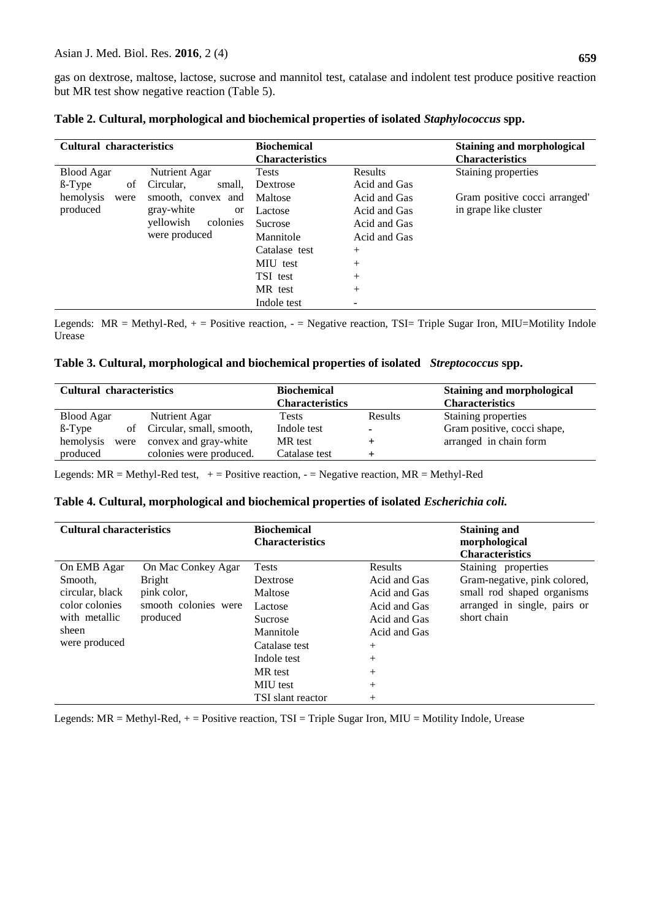gas on dextrose, maltose, lactose, sucrose and mannitol test, catalase and indolent test produce positive reaction but MR test show negative reaction (Table 5).

| <b>Cultural characteristics</b> |                             | <b>Biochemical</b>     |                | <b>Staining and morphological</b> |
|---------------------------------|-----------------------------|------------------------|----------------|-----------------------------------|
|                                 |                             | <b>Characteristics</b> |                | <b>Characteristics</b>            |
| <b>Blood Agar</b>               | Nutrient Agar               | <b>Tests</b>           | Results        | Staining properties               |
| $\beta$ -Type<br>οf             | Circular,<br>small,         | Dextrose               | Acid and Gas   |                                   |
| hemolysis<br>were               | smooth, convex and          | Maltose                | Acid and Gas   | Gram positive cocci arranged'     |
| produced                        | gray-white<br><sub>or</sub> | Lactose                | Acid and Gas   | in grape like cluster             |
|                                 | yellowish<br>colonies       | <b>Sucrose</b>         | Acid and Gas   |                                   |
|                                 | were produced               | Mannitole              | Acid and Gas   |                                   |
|                                 |                             | Catalase test          | $^{+}$         |                                   |
|                                 |                             | MIU test               | $^{+}$         |                                   |
|                                 |                             | TSI test               | $^{+}$         |                                   |
|                                 |                             | MR test                | $^{+}$         |                                   |
|                                 |                             | Indole test            | $\overline{a}$ |                                   |

| Table 2. Cultural, morphological and biochemical properties of isolated Staphylococcus spp. |  |  |
|---------------------------------------------------------------------------------------------|--|--|
|---------------------------------------------------------------------------------------------|--|--|

Legends:  $MR = Methyl-Red$ ,  $+ = Positive reaction$ ,  $- = Negative reaction$ , TSI= Triple Sugar Iron, MIU=Motility Indole Urease

|  |  |  |  | Table 3. Cultural, morphological and biochemical properties of isolated Streptococcus spp. |  |
|--|--|--|--|--------------------------------------------------------------------------------------------|--|
|--|--|--|--|--------------------------------------------------------------------------------------------|--|

| <b>Cultural characteristics</b> |                             | <b>Biochemical</b>     |                | <b>Staining and morphological</b> |
|---------------------------------|-----------------------------|------------------------|----------------|-----------------------------------|
|                                 |                             | <b>Characteristics</b> |                | <b>Characteristics</b>            |
| <b>Blood Agar</b>               | Nutrient Agar               | Tests                  | <b>Results</b> | Staining properties               |
| $\beta$ -Type                   | of Circular, small, smooth, | Indole test            | $\blacksquare$ | Gram positive, cocci shape,       |
| hemolysis<br>were               | convex and gray-white       | MR test                |                | arranged in chain form            |
| produced                        | colonies were produced.     | Catalase test          |                |                                   |

Legends:  $MR = Methyl-Red test, + = Positive reaction, - = Negative reaction, MR = Methyl-Red$ 

# **Table 4. Cultural, morphological and biochemical properties of isolated** *Escherichia coli.*

| <b>Cultural characteristics</b>                                                       |                                                                                        | <b>Biochemical</b><br><b>Characteristics</b>                                    |                                                                                         | <b>Staining and</b><br>morphological<br><b>Characteristics</b>                                                                   |
|---------------------------------------------------------------------------------------|----------------------------------------------------------------------------------------|---------------------------------------------------------------------------------|-----------------------------------------------------------------------------------------|----------------------------------------------------------------------------------------------------------------------------------|
| On EMB Agar<br>Smooth,<br>circular, black<br>color colonies<br>with metallic<br>sheen | On Mac Conkey Agar<br><b>Bright</b><br>pink color,<br>smooth colonies were<br>produced | <b>Tests</b><br>Dextrose<br>Maltose<br>Lactose<br><b>Sucrose</b><br>Mannitole   | Results<br>Acid and Gas<br>Acid and Gas<br>Acid and Gas<br>Acid and Gas<br>Acid and Gas | Staining properties<br>Gram-negative, pink colored,<br>small rod shaped organisms<br>arranged in single, pairs or<br>short chain |
| were produced                                                                         |                                                                                        | Catalase test<br>Indole test<br>MR test<br><b>MIU</b> test<br>TSI slant reactor | $^{+}$<br>$^{+}$<br>$^{+}$<br>$^{+}$<br>$^{+}$                                          |                                                                                                                                  |

Legends: MR = Methyl-Red, + = Positive reaction, TSI = Triple Sugar Iron, MIU = Motility Indole, Urease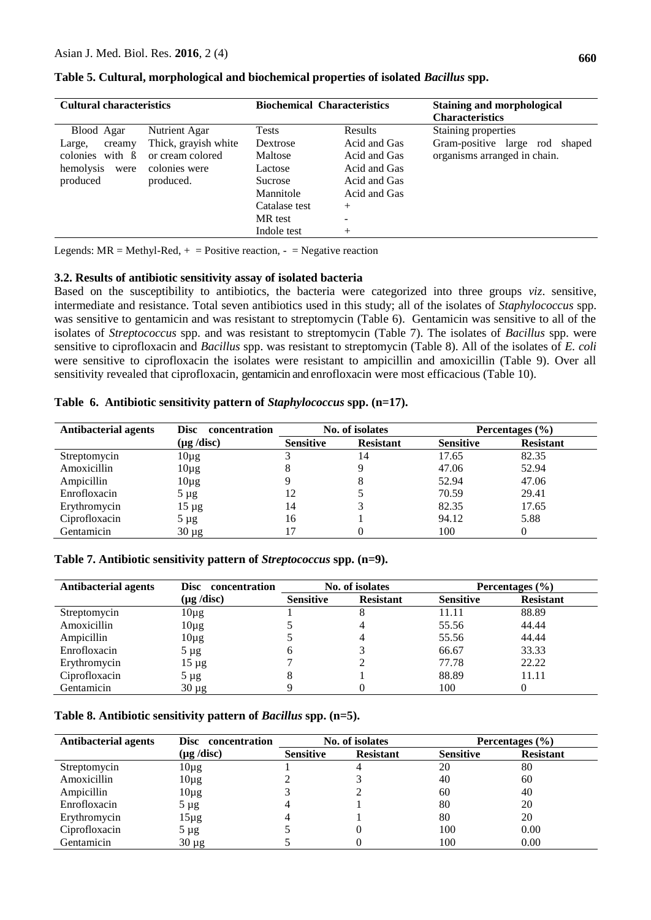| <b>Cultural characteristics</b> |                      | <b>Biochemical Characteristics</b> |                | <b>Staining and morphological</b><br><b>Characteristics</b> |  |  |
|---------------------------------|----------------------|------------------------------------|----------------|-------------------------------------------------------------|--|--|
| Blood Agar                      | Nutrient Agar        | <b>Tests</b>                       | <b>Results</b> | Staining properties                                         |  |  |
| creamy<br>Large,                | Thick, grayish white | Dextrose                           | Acid and Gas   | Gram-positive large rod<br>shaped                           |  |  |
| colonies with $\beta$           | or cream colored     | Maltose                            | Acid and Gas   | organisms arranged in chain.                                |  |  |
| hemolysis<br>were               | colonies were        | Lactose                            | Acid and Gas   |                                                             |  |  |
| produced                        | produced.            | <b>Sucrose</b>                     | Acid and Gas   |                                                             |  |  |
|                                 |                      | Mannitole                          | Acid and Gas   |                                                             |  |  |
|                                 |                      | Catalase test                      | $^{+}$         |                                                             |  |  |
|                                 |                      | MR test                            |                |                                                             |  |  |
|                                 |                      | Indole test                        | $^{+}$         |                                                             |  |  |

**Table 5. Cultural, morphological and biochemical properties of isolated** *Bacillus* **spp.**

Legends:  $MR = Methyl-Red$ ,  $+ = Positive reaction$ ,  $- = Negative reaction$ 

### **3.2. Results of antibiotic sensitivity assay of isolated bacteria**

Based on the susceptibility to antibiotics, the bacteria were categorized into three groups *viz*. sensitive, intermediate and resistance. Total seven antibiotics used in this study; all of the isolates of *Staphylococcus* spp. was sensitive to gentamicin and was resistant to streptomycin (Table 6). Gentamicin was sensitive to all of the isolates of *Streptococcus* spp. and was resistant to streptomycin (Table 7). The isolates of *Bacillus* spp. were sensitive to ciprofloxacin and *Bacillus* spp. was resistant to streptomycin (Table 8). All of the isolates of *E. coli* were sensitive to ciprofloxacin the isolates were resistant to ampicillin and amoxicillin (Table 9). Over all sensitivity revealed that ciprofloxacin, gentamicin and enrofloxacin were most efficacious (Table 10).

|  |  |  |  | Table 6. Antibiotic sensitivity pattern of Staphylococcus spp. (n=17). |  |
|--|--|--|--|------------------------------------------------------------------------|--|
|--|--|--|--|------------------------------------------------------------------------|--|

| Antibacterial agents | Disc concentration      |                  | No. of isolates  | Percentages $(\% )$ |                  |  |
|----------------------|-------------------------|------------------|------------------|---------------------|------------------|--|
|                      | $(\mu g / \text{disc})$ | <b>Sensitive</b> | <b>Resistant</b> | <b>Sensitive</b>    | <b>Resistant</b> |  |
| Streptomycin         | $10\mu$ g               |                  | 14               | 17.65               | 82.35            |  |
| Amoxicillin          | $10\mu$ g               |                  | Q                | 47.06               | 52.94            |  |
| Ampicillin           | $10\mu$ g               |                  | 8                | 52.94               | 47.06            |  |
| Enrofloxacin         | $5 \mu g$               | 12               |                  | 70.59               | 29.41            |  |
| Erythromycin         | $15 \mu$ g              | 14               |                  | 82.35               | 17.65            |  |
| Ciprofloxacin        | $5 \mu g$               | 16               |                  | 94.12               | 5.88             |  |
| Gentamicin           | $30 \mu g$              | 17               | 0                | 100                 |                  |  |

# **Table 7. Antibiotic sensitivity pattern of** *Streptococcus* **spp. (n=9).**

| <b>Antibacterial agents</b> | concentration<br>Disc   | No. of isolates  |                  | Percentages $(\% )$ |                  |
|-----------------------------|-------------------------|------------------|------------------|---------------------|------------------|
|                             | $(\mu g / \text{disc})$ | <b>Sensitive</b> | <b>Resistant</b> | <b>Sensitive</b>    | <b>Resistant</b> |
| Streptomycin                | $10\mu$ g               |                  | ð                | 11.11               | 88.89            |
| Amoxicillin                 | $10\mu$ g               |                  | 4                | 55.56               | 44.44            |
| Ampicillin                  | $10\mu$ g               |                  | 4                | 55.56               | 44.44            |
| Enrofloxacin                | $5 \mu g$               | 6                |                  | 66.67               | 33.33            |
| Erythromycin                | $15 \mu g$              |                  |                  | 77.78               | 22.22            |
| Ciprofloxacin               | $5 \mu g$               | 8                |                  | 88.89               | 11.11            |
| Gentamicin                  | $30 \mu g$              |                  |                  | 100                 |                  |

### **Table 8. Antibiotic sensitivity pattern of** *Bacillus* **spp. (n=5).**

| <b>Antibacterial agents</b> | Disc concentration      | No. of isolates  |                  | Percentages $(\% )$ |                  |
|-----------------------------|-------------------------|------------------|------------------|---------------------|------------------|
|                             | $(\mu g / \text{disc})$ | <b>Sensitive</b> | <b>Resistant</b> | <b>Sensitive</b>    | <b>Resistant</b> |
| Streptomycin                | $10\mu g$               |                  |                  | 20                  | 80               |
| Amoxicillin                 | $10\mu$ g               |                  |                  | 40                  | 60               |
| Ampicillin                  | $10\mu$ g               |                  |                  | 60                  | 40               |
| Enrofloxacin                | $5 \mu$ g               |                  |                  | 80                  | 20               |
| Erythromycin                | 15µg                    |                  |                  | 80                  | 20               |
| Ciprofloxacin               | $5 \mu$ g               |                  |                  | 100                 | 0.00             |
| Gentamicin                  | $30 \mu g$              |                  |                  | 100                 | 0.00             |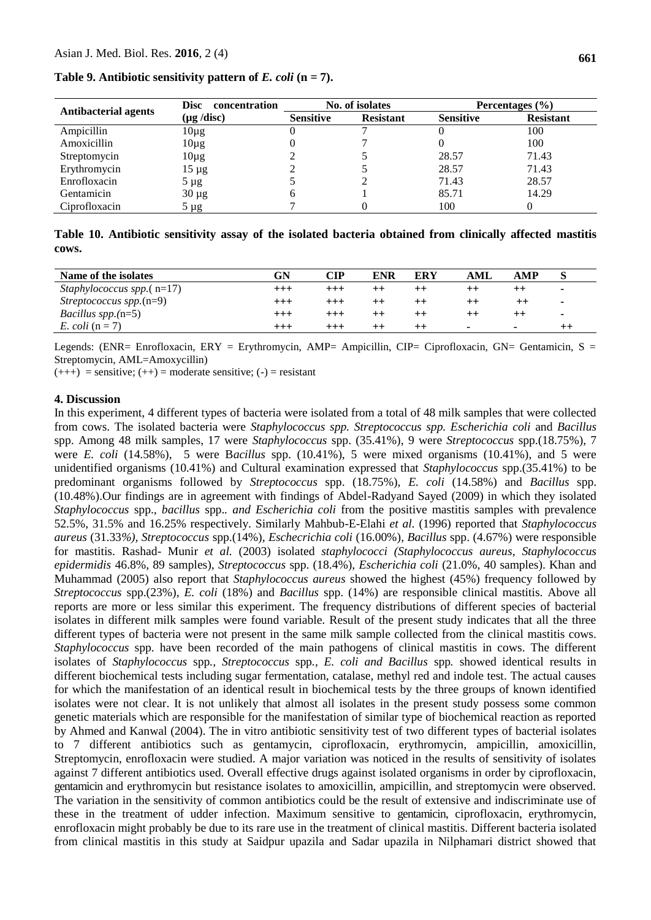| <b>Antibacterial agents</b> | <b>Disc</b><br>concentration | No. of isolates  |                  | Percentages $(\% )$ |                  |  |
|-----------------------------|------------------------------|------------------|------------------|---------------------|------------------|--|
|                             | $(\mu g / \text{disc})$      | <b>Sensitive</b> | <b>Resistant</b> | <b>Sensitive</b>    | <b>Resistant</b> |  |
| Ampicillin                  | $10\mu g$                    |                  |                  |                     | 100              |  |
| Amoxicillin                 | $10\mu$ g                    |                  |                  |                     | 100              |  |
| Streptomycin                | $10\mu$ g                    |                  |                  | 28.57               | 71.43            |  |
| Erythromycin                | $15 \mu g$                   |                  |                  | 28.57               | 71.43            |  |
| Enrofloxacin                | $5 \mu g$                    |                  |                  | 71.43               | 28.57            |  |
| Gentamicin                  | $30 \mu g$                   | <sub>0</sub>     |                  | 85.71               | 14.29            |  |
| Ciprofloxacin               | $5 \mu$ g                    |                  |                  | 100                 |                  |  |

**Table 9. Antibiotic sensitivity pattern of** *E. coli* **(n = 7).**

**Table 10. Antibiotic sensitivity assay of the isolated bacteria obtained from clinically affected mastitis cows.**

| Name of the isolates           | GN       | CIP      | ENR             | ERY     | AML | AMP                      |   |
|--------------------------------|----------|----------|-----------------|---------|-----|--------------------------|---|
| Staphylococcus spp. $(n=17)$   | $^{+++}$ |          |                 |         |     |                          |   |
| Streptococcus spp. $(n=9)$     | $^{+++}$ | $^{+++}$ |                 | $^{++}$ |     | $^{\mathrm{++}}$         | ۰ |
| <i>Bacillus spp.</i> ( $n=5$ ) | $^{+++}$ |          |                 |         |     |                          |   |
| E. coli $(n=7)$                | $^{+++}$ | $^{+++}$ | $^{\mathrm{+}}$ | $^{++}$ | ۰   | $\overline{\phantom{0}}$ |   |

Legends: (ENR= Enrofloxacin, ERY = Erythromycin, AMP= Ampicillin, CIP= Ciprofloxacin, GN= Gentamicin, S = Streptomycin, AML=Amoxycillin)

 $(++)$  = sensitive;  $(++)$  = moderate sensitive;  $(-)$  = resistant

### **4. Discussion**

In this experiment, 4 different types of bacteria were isolated from a total of 48 milk samples that were collected from cows. The isolated bacteria were *Staphylococcus spp. Streptococcus spp. Escherichia coli* and *Bacillus*  spp. Among 48 milk samples, 17 were *Staphylococcus* spp. (35.41%), 9 were *Streptococcus* spp.(18.75%), 7 were *E. coli* (14.58%), 5 were Bacillus spp. (10.41%), 5 were mixed organisms (10.41%), and 5 were unidentified organisms (10.41%) and Cultural examination expressed that *Staphylococcus* spp.(35.41%) to be predominant organisms followed by *Streptococcus* spp. (18.75%), *E. coli* (14.58%) and *Bacillus* spp. (10.48%).Our findings are in agreement with findings of Abdel-Radyand Sayed (2009) in which they isolated *Staphylococcus* spp.*, bacillus* spp.*. and Escherichia coli* from the positive mastitis samples with prevalence 52.5%, 31.5% and 16.25% respectively. Similarly Mahbub-E-Elahi *et al.* (1996) reported that *Staphylococcus aureus* (31.33*%), Streptococcus* spp.(14%), *Eschecrichia coli* (16.00%), *Bacillus* spp. (4.67%) were responsible for mastitis. Rashad- Munir *et al.* (2003) isolated *staphylococci (Staphylococcus aureus*, *Staphylococcus epidermidis* 46.8%, 89 samples), *Streptococcus* spp. (18.4%), *Escherichia coli* (21.0%, 40 samples). Khan and Muhammad (2005) also report that *Staphylococcus aureus* showed the highest (45%) frequency followed by *Streptococcus* spp.(23%), *E. coli* (18%) and *Bacillus* spp. (14%) are responsible clinical mastitis. Above all reports are more or less similar this experiment. The frequency distributions of different species of bacterial isolates in different milk samples were found variable. Result of the present study indicates that all the three different types of bacteria were not present in the same milk sample collected from the clinical mastitis cows. *Staphylococcus* spp. have been recorded of the main pathogens of clinical mastitis in cows. The different isolates of *Staphylococcus* spp*., Streptococcus* spp*., E. coli and Bacillus* spp*.* showed identical results in different biochemical tests including sugar fermentation, catalase, methyl red and indole test. The actual causes for which the manifestation of an identical result in biochemical tests by the three groups of known identified isolates were not clear. It is not unlikely that almost all isolates in the present study possess some common genetic materials which are responsible for the manifestation of similar type of biochemical reaction as reported by Ahmed and Kanwal (2004). The in vitro antibiotic sensitivity test of two different types of bacterial isolates to 7 different antibiotics such as gentamycin, ciprofloxacin, erythromycin, ampicillin, amoxicillin, Streptomycin, enrofloxacin were studied. A major variation was noticed in the results of sensitivity of isolates against 7 different antibiotics used. Overall effective drugs against isolated organisms in order by ciprofloxacin, gentamicin and erythromycin but resistance isolates to amoxicillin, ampicillin, and streptomycin were observed. The variation in the sensitivity of common antibiotics could be the result of extensive and indiscriminate use of these in the treatment of udder infection. Maximum sensitive to gentamicin, ciprofloxacin, erythromycin, enrofloxacin might probably be due to its rare use in the treatment of clinical mastitis. Different bacteria isolated from clinical mastitis in this study at Saidpur upazila and Sadar upazila in Nilphamari district showed that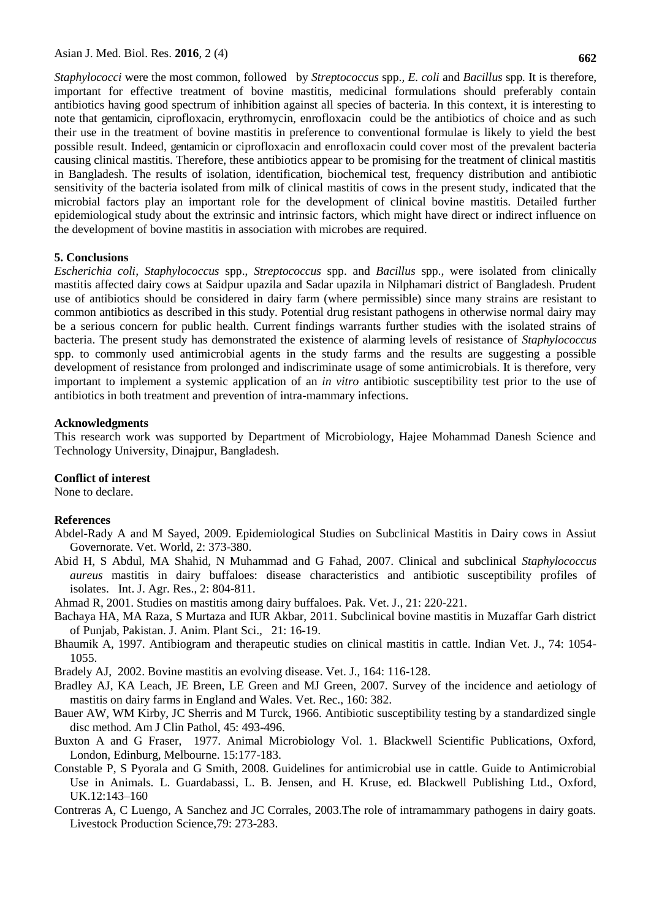*Staphylococci* were the most common, followed by *Streptococcus* spp.*, E. coli* and *Bacillus* spp*.* It is therefore, important for effective treatment of bovine mastitis, medicinal formulations should preferably contain antibiotics having good spectrum of inhibition against all species of bacteria. In this context, it is interesting to note that gentamicin, ciprofloxacin, erythromycin, enrofloxacin could be the antibiotics of choice and as such their use in the treatment of bovine mastitis in preference to conventional formulae is likely to yield the best possible result. Indeed, gentamicin or ciprofloxacin and enrofloxacin could cover most of the prevalent bacteria causing clinical mastitis. Therefore, these antibiotics appear to be promising for the treatment of clinical mastitis in Bangladesh. The results of isolation, identification, biochemical test, frequency distribution and antibiotic sensitivity of the bacteria isolated from milk of clinical mastitis of cows in the present study, indicated that the microbial factors play an important role for the development of clinical bovine mastitis. Detailed further epidemiological study about the extrinsic and intrinsic factors, which might have direct or indirect influence on the development of bovine mastitis in association with microbes are required.

### **5. Conclusions**

*Escherichia coli, Staphylococcus* spp., *Streptococcus* spp. and *Bacillus* spp.*,* were isolated from clinically mastitis affected dairy cows at Saidpur upazila and Sadar upazila in Nilphamari district of Bangladesh. Prudent use of antibiotics should be considered in dairy farm (where permissible) since many strains are resistant to common antibiotics as described in this study. Potential drug resistant pathogens in otherwise normal dairy may be a serious concern for public health. Current findings warrants further studies with the isolated strains of bacteria. The present study has demonstrated the existence of alarming levels of resistance of *Staphylococcus*  spp. to commonly used antimicrobial agents in the study farms and the results are suggesting a possible development of resistance from prolonged and indiscriminate usage of some antimicrobials. It is therefore, very important to implement a systemic application of an *in vitro* antibiotic susceptibility test prior to the use of antibiotics in both treatment and prevention of intra-mammary infections.

### **Acknowledgments**

This research work was supported by Department of Microbiology, Hajee Mohammad Danesh Science and Technology University, Dinajpur, Bangladesh.

#### **Conflict of interest**

None to declare.

### **References**

- Abdel-Rady A and M Sayed, 2009. Epidemiological Studies on Subclinical Mastitis in Dairy cows in Assiut Governorate. Vet. World, 2: 373-380.
- Abid H, S Abdul, MA Shahid, N Muhammad and G Fahad, 2007. Clinical and subclinical *Staphylococcus aureus* mastitis in dairy buffaloes: disease characteristics and antibiotic susceptibility profiles of isolates. Int. J. Agr. Res., 2: 804-811.
- Ahmad R, 2001. Studies on mastitis among dairy buffaloes. Pak. Vet. J., 21: 220-221.
- Bachaya HA, MA Raza, S Murtaza and IUR Akbar, 2011. Subclinical bovine mastitis in Muzaffar Garh district of Punjab, Pakistan. J. Anim. Plant Sci.*,* 21: 16-19.
- Bhaumik A, 1997. Antibiogram and therapeutic studies on clinical mastitis in cattle. Indian Vet. J., 74: 1054- 1055.
- Bradely AJ, 2002. Bovine mastitis an evolving disease. Vet. J., 164: 116-128.
- Bradley AJ, KA Leach, JE Breen, LE Green and MJ Green, 2007. Survey of the incidence and aetiology of mastitis on dairy farms in England and Wales. Vet. Rec., 160: 382.
- Bauer AW, WM Kirby, JC Sherris and M Turck, 1966. Antibiotic susceptibility testing by a standardized single disc method. Am J Clin Pathol, 45: 493-496.
- Buxton A and G Fraser, 1977. Animal Microbiology Vol. 1. Blackwell Scientific Publications, Oxford, London, Edinburg, Melbourne. 15:177-183.
- Constable P, S Pyorala and G Smith, 2008. Guidelines for antimicrobial use in cattle. Guide to Antimicrobial Use in Animals*.* L. Guardabassi, L. B. Jensen, and H. Kruse, ed*.* Blackwell Publishing Ltd., Oxford, UK.12:143–160
- Contreras A, C Luengo, A Sanchez and JC Corrales, 2003.The role of intramammary pathogens in dairy goats. Livestock Production Science,79: 273-283.